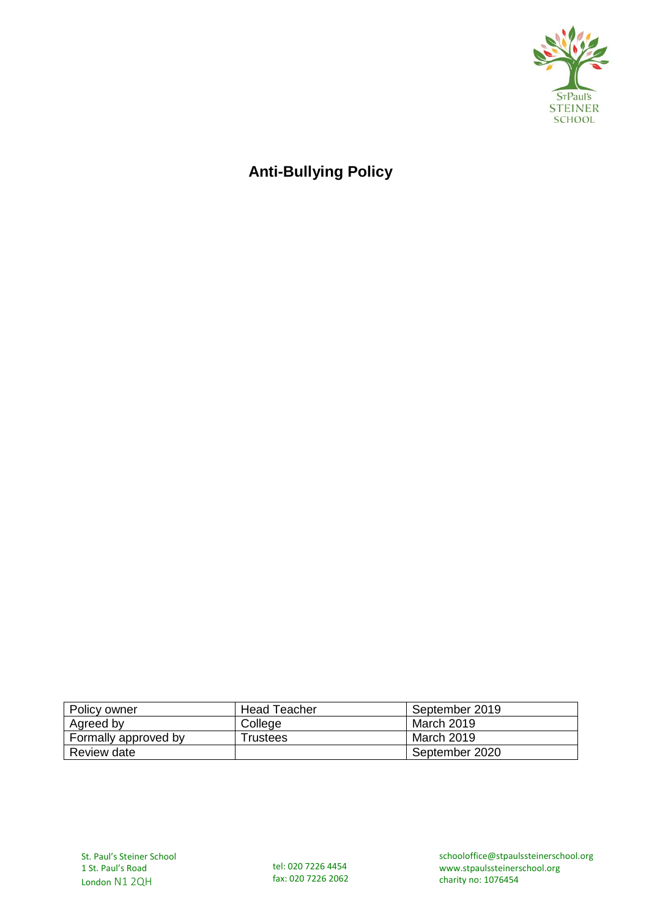

# **Anti-Bullying Policy**

| Policy owner         | Head Teacher | September 2019 |
|----------------------|--------------|----------------|
| Agreed by            | College      | March 2019     |
| Formally approved by | Trustees     | March 2019     |
| Review date          |              | September 2020 |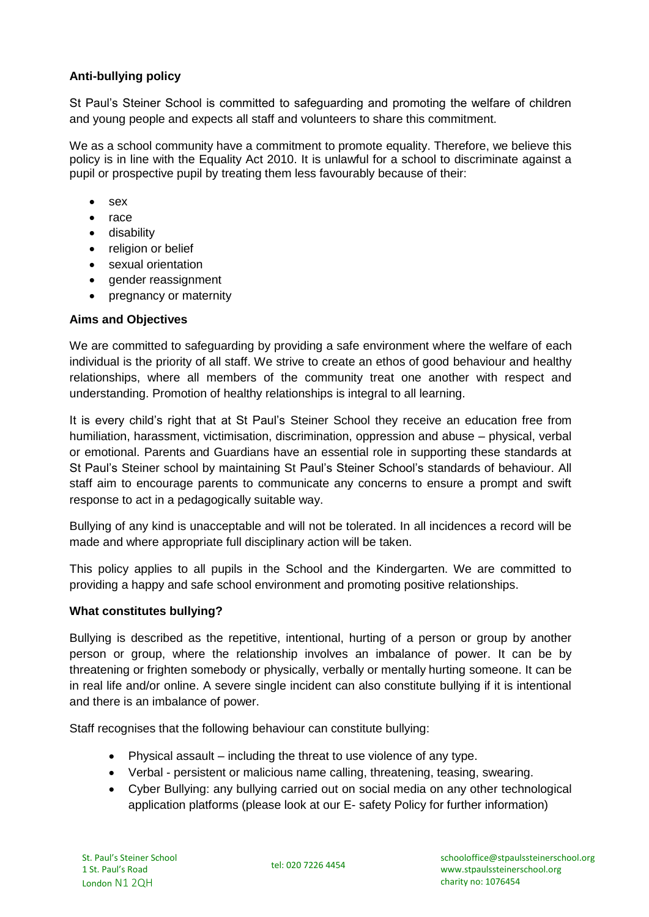# **Anti-bullying policy**

St Paul's Steiner School is committed to safeguarding and promoting the welfare of children and young people and expects all staff and volunteers to share this commitment.

We as a school community have a commitment to promote equality. Therefore, we believe this policy is in line with the Equality Act 2010. It is unlawful for a school to discriminate against a pupil or prospective pupil by treating them less favourably because of their:

- sex
- race
- disability
- religion or belief
- sexual orientation
- gender reassignment
- pregnancy or maternity

## **Aims and Objectives**

We are committed to safeguarding by providing a safe environment where the welfare of each individual is the priority of all staff. We strive to create an ethos of good behaviour and healthy relationships, where all members of the community treat one another with respect and understanding. Promotion of healthy relationships is integral to all learning.

It is every child's right that at St Paul's Steiner School they receive an education free from humiliation, harassment, victimisation, discrimination, oppression and abuse – physical, verbal or emotional. Parents and Guardians have an essential role in supporting these standards at St Paul's Steiner school by maintaining St Paul's Steiner School's standards of behaviour. All staff aim to encourage parents to communicate any concerns to ensure a prompt and swift response to act in a pedagogically suitable way.

Bullying of any kind is unacceptable and will not be tolerated. In all incidences a record will be made and where appropriate full disciplinary action will be taken.

This policy applies to all pupils in the School and the Kindergarten. We are committed to providing a happy and safe school environment and promoting positive relationships.

#### **What constitutes bullying?**

Bullying is described as the repetitive, intentional, hurting of a person or group by another person or group, where the relationship involves an imbalance of power. It can be by threatening or frighten somebody or physically, verbally or mentally hurting someone. It can be in real life and/or online. A severe single incident can also constitute bullying if it is intentional and there is an imbalance of power.

Staff recognises that the following behaviour can constitute bullying:

- Physical assault including the threat to use violence of any type.
- Verbal persistent or malicious name calling, threatening, teasing, swearing.
- Cyber Bullying: any bullying carried out on social media on any other technological application platforms (please look at our E- safety Policy for further information)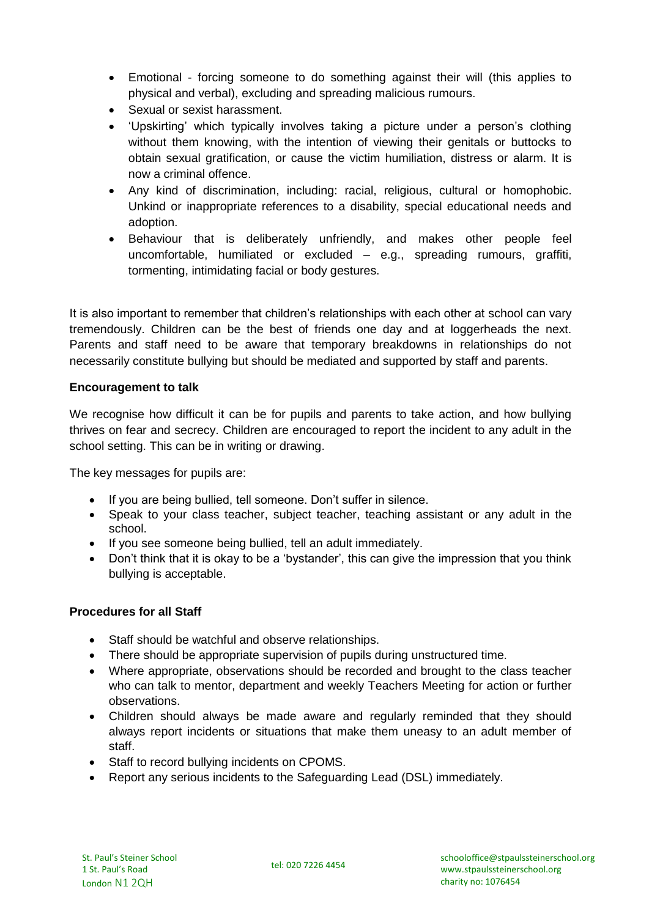- Emotional forcing someone to do something against their will (this applies to physical and verbal), excluding and spreading malicious rumours.
- Sexual or sexist harassment.
- 'Upskirting' which typically involves taking a picture under a person's clothing without them knowing, with the intention of viewing their genitals or buttocks to obtain sexual gratification, or cause the victim humiliation, distress or alarm. It is now a criminal offence.
- Any kind of discrimination, including: racial, religious, cultural or homophobic. Unkind or inappropriate references to a disability, special educational needs and adoption.
- Behaviour that is deliberately unfriendly, and makes other people feel uncomfortable, humiliated or excluded – e.g., spreading rumours, graffiti, tormenting, intimidating facial or body gestures.

It is also important to remember that children's relationships with each other at school can vary tremendously. Children can be the best of friends one day and at loggerheads the next. Parents and staff need to be aware that temporary breakdowns in relationships do not necessarily constitute bullying but should be mediated and supported by staff and parents.

## **Encouragement to talk**

We recognise how difficult it can be for pupils and parents to take action, and how bullying thrives on fear and secrecy. Children are encouraged to report the incident to any adult in the school setting. This can be in writing or drawing.

The key messages for pupils are:

- If you are being bullied, tell someone. Don't suffer in silence.
- Speak to your class teacher, subject teacher, teaching assistant or any adult in the school.
- If you see someone being bullied, tell an adult immediately.
- Don't think that it is okay to be a 'bystander', this can give the impression that you think bullying is acceptable.

#### **Procedures for all Staff**

- Staff should be watchful and observe relationships.
- There should be appropriate supervision of pupils during unstructured time.
- Where appropriate, observations should be recorded and brought to the class teacher who can talk to mentor, department and weekly Teachers Meeting for action or further observations.
- Children should always be made aware and regularly reminded that they should always report incidents or situations that make them uneasy to an adult member of staff.
- Staff to record bullying incidents on CPOMS.
- Report any serious incidents to the Safeguarding Lead (DSL) immediately.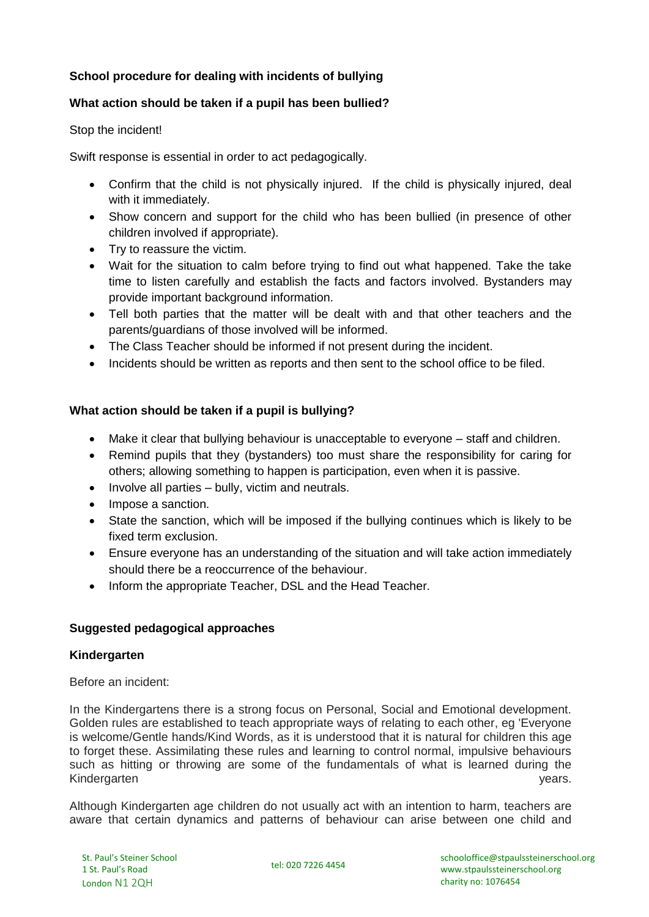# **School procedure for dealing with incidents of bullying**

## **What action should be taken if a pupil has been bullied?**

Stop the incident!

Swift response is essential in order to act pedagogically.

- Confirm that the child is not physically injured. If the child is physically injured, deal with it immediately.
- Show concern and support for the child who has been bullied (in presence of other children involved if appropriate).
- Try to reassure the victim.
- Wait for the situation to calm before trying to find out what happened. Take the take time to listen carefully and establish the facts and factors involved. Bystanders may provide important background information.
- Tell both parties that the matter will be dealt with and that other teachers and the parents/guardians of those involved will be informed.
- The Class Teacher should be informed if not present during the incident.
- Incidents should be written as reports and then sent to the school office to be filed.

#### **What action should be taken if a pupil is bullying?**

- Make it clear that bullying behaviour is unacceptable to everyone staff and children.
- Remind pupils that they (bystanders) too must share the responsibility for caring for others; allowing something to happen is participation, even when it is passive.
- $\bullet$  Involve all parties bully, victim and neutrals.
- Impose a sanction.
- State the sanction, which will be imposed if the bullying continues which is likely to be fixed term exclusion.
- Ensure everyone has an understanding of the situation and will take action immediately should there be a reoccurrence of the behaviour.
- Inform the appropriate Teacher, DSL and the Head Teacher.

#### **Suggested pedagogical approaches**

#### **Kindergarten**

Before an incident:

In the Kindergartens there is a strong focus on Personal, Social and Emotional development. Golden rules are established to teach appropriate ways of relating to each other, eg 'Everyone is welcome/Gentle hands/Kind Words, as it is understood that it is natural for children this age to forget these. Assimilating these rules and learning to control normal, impulsive behaviours such as hitting or throwing are some of the fundamentals of what is learned during the Kindergarten years. Website the state of the state of the state of the state of the state of the state of the state of the state of the state of the state of the state of the state of the state of the state of the state of

Although Kindergarten age children do not usually act with an intention to harm, teachers are aware that certain dynamics and patterns of behaviour can arise between one child and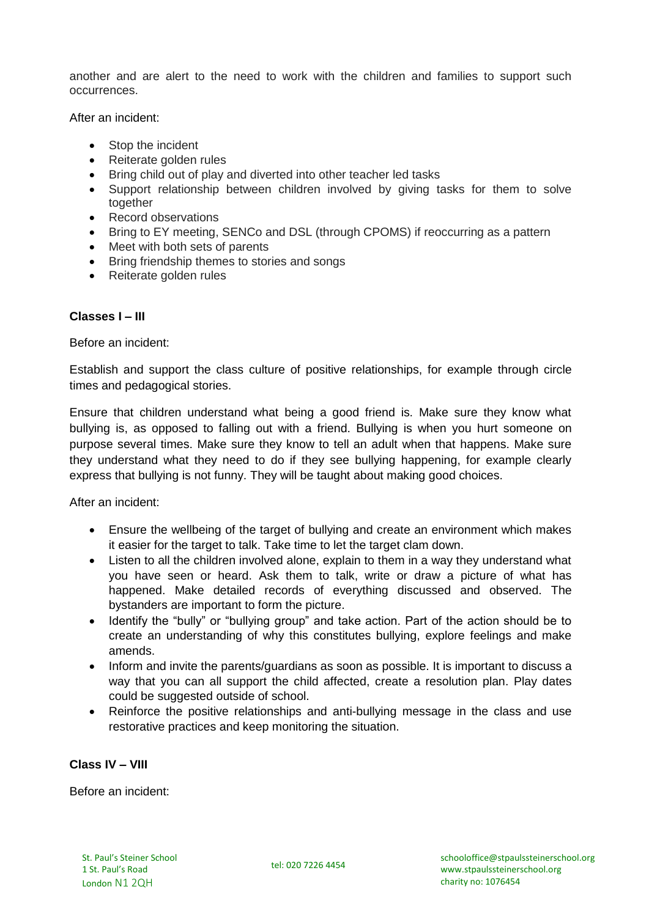another and are alert to the need to work with the children and families to support such occurrences.

After an incident:

- Stop the incident
- Reiterate golden rules
- Bring child out of play and diverted into other teacher led tasks
- Support relationship between children involved by giving tasks for them to solve together
- Record observations
- Bring to EY meeting, SENCo and DSL (through CPOMS) if reoccurring as a pattern
- Meet with both sets of parents
- Bring friendship themes to stories and songs
- Reiterate golden rules

#### **Classes I – III**

Before an incident:

Establish and support the class culture of positive relationships, for example through circle times and pedagogical stories.

Ensure that children understand what being a good friend is. Make sure they know what bullying is, as opposed to falling out with a friend. Bullying is when you hurt someone on purpose several times. Make sure they know to tell an adult when that happens. Make sure they understand what they need to do if they see bullying happening, for example clearly express that bullying is not funny. They will be taught about making good choices.

After an incident:

- Ensure the wellbeing of the target of bullying and create an environment which makes it easier for the target to talk. Take time to let the target clam down.
- Listen to all the children involved alone, explain to them in a way they understand what you have seen or heard. Ask them to talk, write or draw a picture of what has happened. Make detailed records of everything discussed and observed. The bystanders are important to form the picture.
- Identify the "bully" or "bullying group" and take action. Part of the action should be to create an understanding of why this constitutes bullying, explore feelings and make amends.
- Inform and invite the parents/guardians as soon as possible. It is important to discuss a way that you can all support the child affected, create a resolution plan. Play dates could be suggested outside of school.
- Reinforce the positive relationships and anti-bullying message in the class and use restorative practices and keep monitoring the situation.

#### **Class IV – VIII**

Before an incident: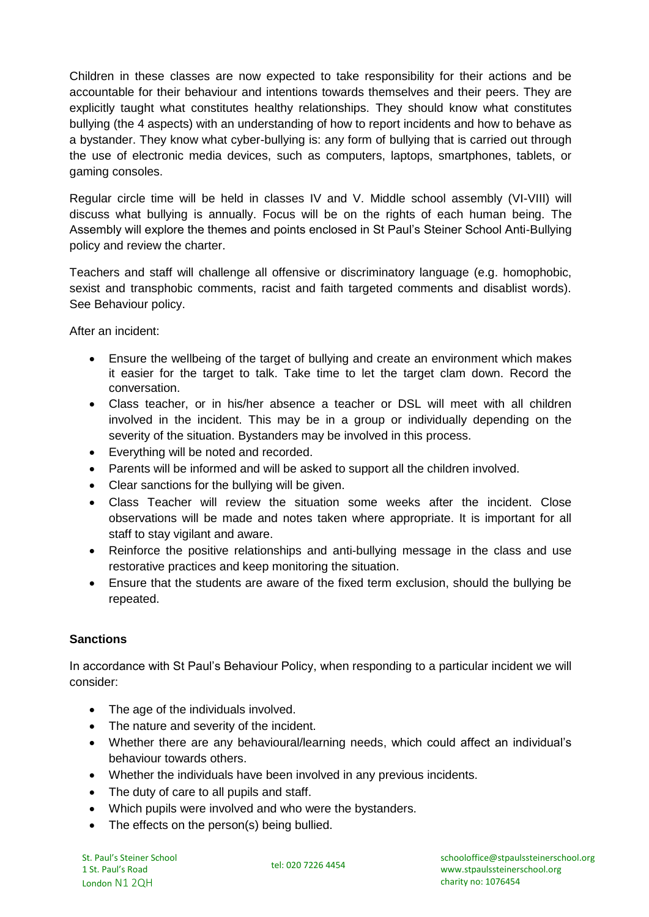Children in these classes are now expected to take responsibility for their actions and be accountable for their behaviour and intentions towards themselves and their peers. They are explicitly taught what constitutes healthy relationships. They should know what constitutes bullying (the 4 aspects) with an understanding of how to report incidents and how to behave as a bystander. They know what cyber-bullying is: any form of bullying that is carried out through the use of electronic media devices, such as computers, laptops, smartphones, tablets, or gaming consoles.

Regular circle time will be held in classes IV and V. Middle school assembly (VI-VIII) will discuss what bullying is annually. Focus will be on the rights of each human being. The Assembly will explore the themes and points enclosed in St Paul's Steiner School Anti-Bullying policy and review the charter.

Teachers and staff will challenge all offensive or discriminatory language (e.g. homophobic, sexist and transphobic comments, racist and faith targeted comments and disablist words). See Behaviour policy.

After an incident:

- Ensure the wellbeing of the target of bullying and create an environment which makes it easier for the target to talk. Take time to let the target clam down. Record the conversation.
- Class teacher, or in his/her absence a teacher or DSL will meet with all children involved in the incident. This may be in a group or individually depending on the severity of the situation. Bystanders may be involved in this process.
- Everything will be noted and recorded.
- Parents will be informed and will be asked to support all the children involved.
- Clear sanctions for the bullying will be given.
- Class Teacher will review the situation some weeks after the incident. Close observations will be made and notes taken where appropriate. It is important for all staff to stay vigilant and aware.
- Reinforce the positive relationships and anti-bullying message in the class and use restorative practices and keep monitoring the situation.
- Ensure that the students are aware of the fixed term exclusion, should the bullying be repeated.

# **Sanctions**

In accordance with St Paul's Behaviour Policy, when responding to a particular incident we will consider:

- The age of the individuals involved.
- The nature and severity of the incident.
- Whether there are any behavioural/learning needs, which could affect an individual's behaviour towards others.
- Whether the individuals have been involved in any previous incidents.
- The duty of care to all pupils and staff.
- Which pupils were involved and who were the bystanders.
- The effects on the person(s) being bullied.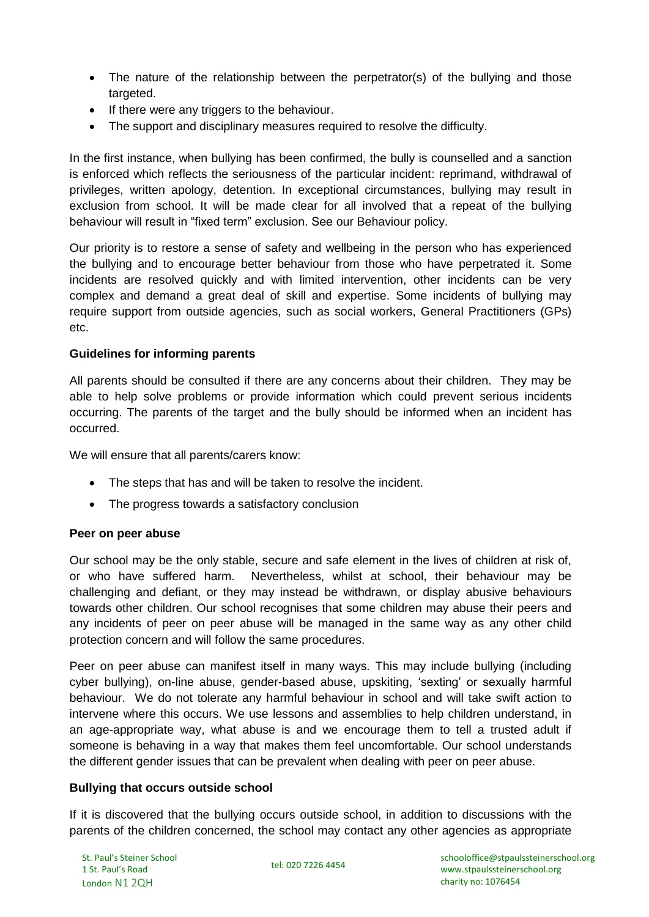- The nature of the relationship between the perpetrator(s) of the bullying and those targeted.
- If there were any triggers to the behaviour.
- The support and disciplinary measures required to resolve the difficulty.

In the first instance, when bullying has been confirmed, the bully is counselled and a sanction is enforced which reflects the seriousness of the particular incident: reprimand, withdrawal of privileges, written apology, detention. In exceptional circumstances, bullying may result in exclusion from school. It will be made clear for all involved that a repeat of the bullying behaviour will result in "fixed term" exclusion. See our Behaviour policy.

Our priority is to restore a sense of safety and wellbeing in the person who has experienced the bullying and to encourage better behaviour from those who have perpetrated it. Some incidents are resolved quickly and with limited intervention, other incidents can be very complex and demand a great deal of skill and expertise. Some incidents of bullying may require support from outside agencies, such as social workers, General Practitioners (GPs) etc.

## **Guidelines for informing parents**

All parents should be consulted if there are any concerns about their children. They may be able to help solve problems or provide information which could prevent serious incidents occurring. The parents of the target and the bully should be informed when an incident has occurred.

We will ensure that all parents/carers know:

- The steps that has and will be taken to resolve the incident.
- The progress towards a satisfactory conclusion

# **Peer on peer abuse**

Our school may be the only stable, secure and safe element in the lives of children at risk of, or who have suffered harm. Nevertheless, whilst at school, their behaviour may be challenging and defiant, or they may instead be withdrawn, or display abusive behaviours towards other children. Our school recognises that some children may abuse their peers and any incidents of peer on peer abuse will be managed in the same way as any other child protection concern and will follow the same procedures.

Peer on peer abuse can manifest itself in many ways. This may include bullying (including cyber bullying), on-line abuse, gender-based abuse, upskiting, 'sexting' or sexually harmful behaviour. We do not tolerate any harmful behaviour in school and will take swift action to intervene where this occurs. We use lessons and assemblies to help children understand, in an age-appropriate way, what abuse is and we encourage them to tell a trusted adult if someone is behaving in a way that makes them feel uncomfortable. Our school understands the different gender issues that can be prevalent when dealing with peer on peer abuse.

#### **Bullying that occurs outside school**

If it is discovered that the bullying occurs outside school, in addition to discussions with the parents of the children concerned, the school may contact any other agencies as appropriate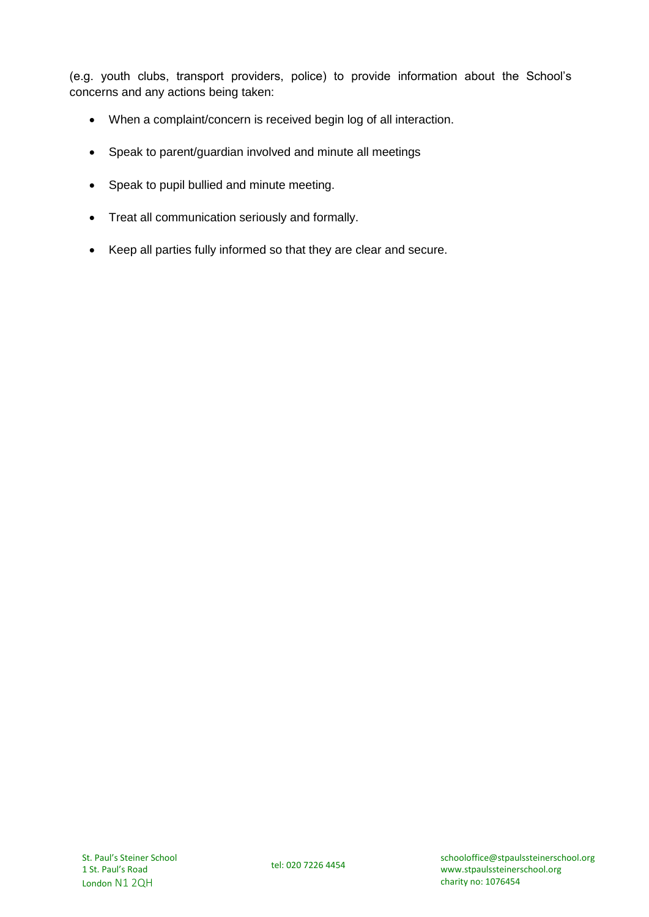(e.g. youth clubs, transport providers, police) to provide information about the School's concerns and any actions being taken:

- When a complaint/concern is received begin log of all interaction.
- Speak to parent/guardian involved and minute all meetings
- Speak to pupil bullied and minute meeting.
- Treat all communication seriously and formally.
- Keep all parties fully informed so that they are clear and secure.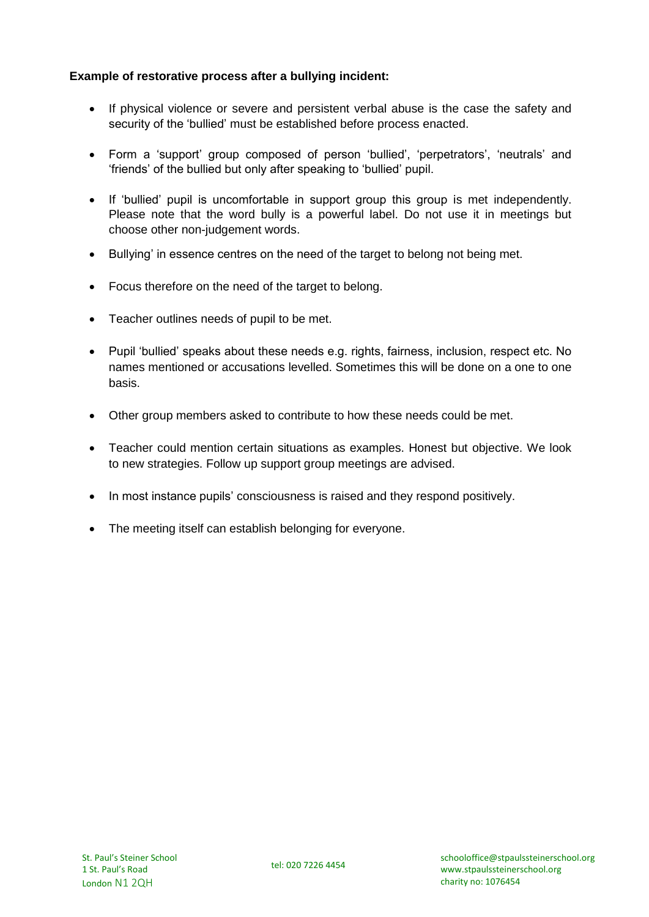## **Example of restorative process after a bullying incident:**

- If physical violence or severe and persistent verbal abuse is the case the safety and security of the 'bullied' must be established before process enacted.
- Form a 'support' group composed of person 'bullied', 'perpetrators', 'neutrals' and 'friends' of the bullied but only after speaking to 'bullied' pupil.
- If 'bullied' pupil is uncomfortable in support group this group is met independently. Please note that the word bully is a powerful label. Do not use it in meetings but choose other non-judgement words.
- Bullying' in essence centres on the need of the target to belong not being met.
- Focus therefore on the need of the target to belong.
- Teacher outlines needs of pupil to be met.
- Pupil 'bullied' speaks about these needs e.g. rights, fairness, inclusion, respect etc. No names mentioned or accusations levelled. Sometimes this will be done on a one to one basis.
- Other group members asked to contribute to how these needs could be met.
- Teacher could mention certain situations as examples. Honest but objective. We look to new strategies. Follow up support group meetings are advised.
- In most instance pupils' consciousness is raised and they respond positively.
- The meeting itself can establish belonging for everyone.